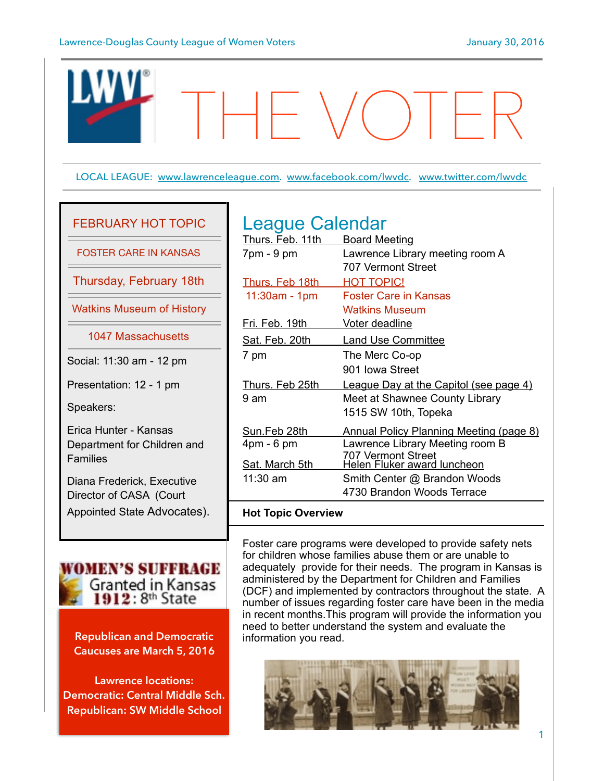

# FEBRUARY HOT TOPIC

FOSTER CARE IN KANSAS

Thursday, February 18th

Watkins Museum of History

1047 Massachusetts

Social: 11:30 am - 12 pm

Presentation: 12 - 1 pm

Speakers:

Erica Hunter - Kansas Department for Children and Families

Diana Frederick, Executive Director of CASA (Court Appointed State Advocates).



**Republican and Democratic Caucuses are March 5, 2016** 

**Lawrence locations: Democratic: Central Middle Sch. Republican: SW Middle School**

# League Calendar

| Thurs. Feb. 11th   | <b>Board Meeting</b>                              |
|--------------------|---------------------------------------------------|
| $7pm - 9pm$        | Lawrence Library meeting room A                   |
|                    | 707 Vermont Street                                |
| Thurs. Feb 18th    | <b>HOT TOPIC!</b>                                 |
| $11:30am - 1pm$    | Foster Care in Kansas                             |
|                    | <b>Watkins Museum</b>                             |
| Fri. Feb. 19th     | Voter deadline                                    |
| Sat. Feb. 20th     | <b>Land Use Committee</b>                         |
| 7 pm               | The Merc Co-op                                    |
|                    | 901 Iowa Street                                   |
| Thurs. Feb 25th    | <u>League Day at the Capitol (see page 4)</u>     |
| 9 am               | Meet at Shawnee County Library                    |
|                    | 1515 SW 10th, Topeka                              |
| Sun.Feb 28th       | Annual Policy Planning Meeting (page 8)           |
| $4pm - 6pm$        | Lawrence Library Meeting room B                   |
| Sat. March 5th     | 707 Vermont Street<br>Helen Fluker award luncheon |
| 11:30 am           | Smith Center @ Brandon Woods                      |
|                    | 4730 Brandon Woods Terrace                        |
| Unt Tania Ovanview |                                                   |

### **Hot Topic Overview**

Foster care programs were developed to provide safety nets for children whose families abuse them or are unable to adequately provide for their needs. The program in Kansas is administered by the Department for Children and Families (DCF) and implemented by contractors throughout the state. A number of issues regarding foster care have been in the media in recent months.This program will provide the information you need to better understand the system and evaluate the information you read.

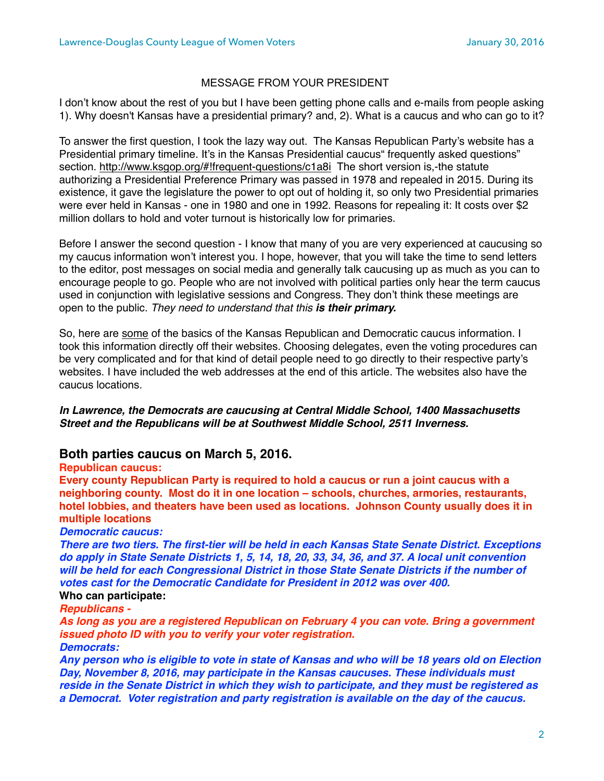### MESSAGE FROM YOUR PRESIDENT

I don't know about the rest of you but I have been getting phone calls and e-mails from people asking 1). Why doesn't Kansas have a presidential primary? and, 2). What is a caucus and who can go to it?

To answer the first question, I took the lazy way out. The Kansas Republican Party's website has a Presidential primary timeline. It's in the Kansas Presidential caucus" frequently asked questions" section. <http://www.ksgop.org/#!frequent-questions/c1a8i> The short version is,-the statute authorizing a Presidential Preference Primary was passed in 1978 and repealed in 2015. During its existence, it gave the legislature the power to opt out of holding it, so only two Presidential primaries were ever held in Kansas - one in 1980 and one in 1992. Reasons for repealing it: It costs over \$2 million dollars to hold and voter turnout is historically low for primaries.

Before I answer the second question - I know that many of you are very experienced at caucusing so my caucus information won't interest you. I hope, however, that you will take the time to send letters to the editor, post messages on social media and generally talk caucusing up as much as you can to encourage people to go. People who are not involved with political parties only hear the term caucus used in conjunction with legislative sessions and Congress. They don't think these meetings are open to the public. *They need to understand that this is their primary.*

So, here are some of the basics of the Kansas Republican and Democratic caucus information. I took this information directly off their websites. Choosing delegates, even the voting procedures can be very complicated and for that kind of detail people need to go directly to their respective party's websites. I have included the web addresses at the end of this article. The websites also have the caucus locations.

*In Lawrence, the Democrats are caucusing at Central Middle School, 1400 Massachusetts Street and the Republicans will be at Southwest Middle School, 2511 Inverness.*

### **Both parties caucus on March 5, 2016.**

**Republican caucus:**

**Every county Republican Party is required to hold a caucus or run a joint caucus with a neighboring county. Most do it in one location – schools, churches, armories, restaurants, hotel lobbies, and theaters have been used as locations. Johnson County usually does it in multiple locations**

### *Democratic caucus:*

*There are two tiers. The first-tier will be held in each Kansas State Senate District. Exceptions do apply in State Senate Districts 1, 5, 14, 18, 20, 33, 34, 36, and 37. A local unit convention will be held for each Congressional District in those State Senate Districts if the number of votes cast for the Democratic Candidate for President in 2012 was over 400.*

### **Who can participate:**

*Republicans -* 

*As long as you are a registered Republican on February 4 you can vote. Bring a government issued photo ID with you to verify your voter registration.*

*Democrats:*

*Any person who is eligible to vote in state of Kansas and who will be 18 years old on Election Day, November 8, 2016, may participate in the Kansas caucuses. These individuals must reside in the Senate District in which they wish to participate, and they must be registered as a Democrat.**Voter registration and party registration is available on the day of the caucus.*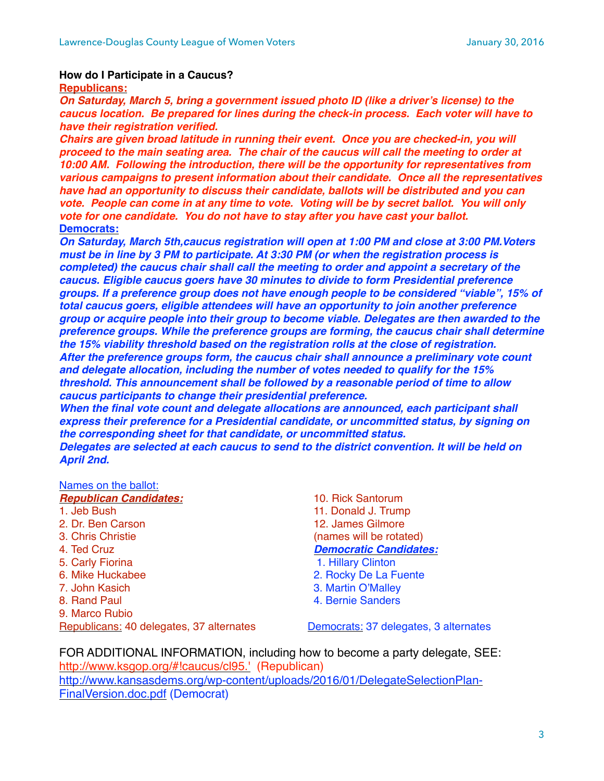### **How do I Participate in a Caucus?**

**Republicans:**

*On Saturday, March 5, bring a government issued photo ID (like a driver's license) to the caucus location. Be prepared for lines during the check-in process. Each voter will have to have their registration verified.* 

*Chairs are given broad latitude in running their event. Once you are checked-in, you will proceed to the main seating area. The chair of the caucus will call the meeting to order at 10:00 AM. Following the introduction, there will be the opportunity for representatives from various campaigns to present information about their candidate. Once all the representatives have had an opportunity to discuss their candidate, ballots will be distributed and you can vote. People can come in at any time to vote. Voting will be by secret ballot. You will only vote for one candidate. You do not have to stay after you have cast your ballot.* **Democrats:**

*On Saturday, March 5th,caucus registration will open at 1:00 PM and close at 3:00 PM.Voters must be in line by 3 PM to participate. At 3:30 PM (or when the registration process is completed) the caucus chair shall call the meeting to order and appoint a secretary of the caucus. Eligible caucus goers have 30 minutes to divide to form Presidential preference groups. If a preference group does not have enough people to be considered "viable", 15% of total caucus goers, eligible attendees will have an opportunity to join another preference group or acquire people into their group to become viable. Delegates are then awarded to the preference groups. While the preference groups are forming, the caucus chair shall determine the 15% viability threshold based on the registration rolls at the close of registration. After the preference groups form, the caucus chair shall announce a preliminary vote count and delegate allocation, including the number of votes needed to qualify for the 15% threshold. This announcement shall be followed by a reasonable period of time to allow caucus participants to change their presidential preference.*

*When the final vote count and delegate allocations are announced, each participant shall express their preference for a Presidential candidate, or uncommitted status, by signing on the corresponding sheet for that candidate, or uncommitted status.*

*Delegates are selected at each caucus to send to the district convention. It will be held on April 2nd.*

#### Names on the ballot:

| <b>Republican Candidates:</b>            |
|------------------------------------------|
| 1. Jeb Bush                              |
| 2. Dr. Ben Carson                        |
| 3. Chris Christie                        |
| 4. Ted Cruz                              |
| 5. Carly Fiorina                         |
| 6. Mike Huckabee                         |
| 7. John Kasich                           |
| 8. Rand Paul                             |
| 9. Marco Rubio                           |
| Republicans: 40 delegates, 37 alternates |
|                                          |

10. Rick Santorum 11. Donald J. Trump 12. James Gilmore (names will be rotated) *Democratic Candidates:* 1. Hillary Clinton 2. Rocky De La Fuente 3. Martin O'Malley 4. Bernie Sanders

Democrats: 37 delegates, 3 alternates

FOR ADDITIONAL INFORMATION, including how to become a party delegate, SEE: [http://www.ksgop.org/#!caucus/cl95.'](http://www.ksgop.org/#!caucus/cl95.) (Republican) [http://www.kansasdems.org/wp-content/uploads/2016/01/DelegateSelectionPlan-](http://www.kansasdems.org/wp-content/uploads/2016/01/DelegateSelectionPlan-FinalVersion.doc.pdf)FinalVersion.doc.pdf (Democrat)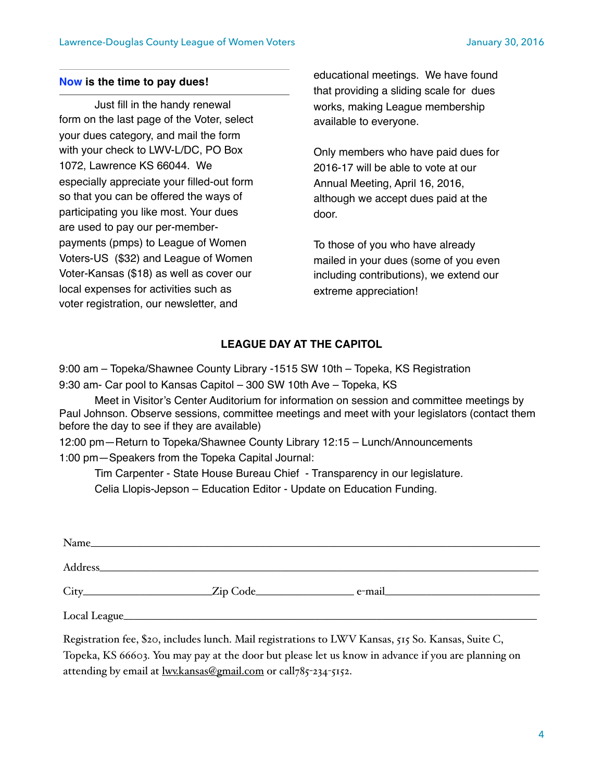### **Now is the time to pay dues!**

Just fill in the handy renewal form on the last page of the Voter, select your dues category, and mail the form with your check to LWV-L/DC, PO Box 1072, Lawrence KS 66044. We especially appreciate your filled-out form so that you can be offered the ways of participating you like most. Your dues are used to pay our per-memberpayments (pmps) to League of Women Voters-US (\$32) and League of Women Voter-Kansas (\$18) as well as cover our local expenses for activities such as voter registration, our newsletter, and

educational meetings. We have found that providing a sliding scale for dues works, making League membership available to everyone.

Only members who have paid dues for 2016-17 will be able to vote at our Annual Meeting, April 16, 2016, although we accept dues paid at the door.

To those of you who have already mailed in your dues (some of you even including contributions), we extend our extreme appreciation!

# **LEAGUE DAY AT THE CAPITOL**

9:00 am – Topeka/Shawnee County Library -1515 SW 10th – Topeka, KS Registration 9:30 am- Car pool to Kansas Capitol – 300 SW 10th Ave – Topeka, KS

Meet in Visitor's Center Auditorium for information on session and committee meetings by Paul Johnson. Observe sessions, committee meetings and meet with your legislators (contact them before the day to see if they are available)

12:00 pm—Return to Topeka/Shawnee County Library 12:15 – Lunch/Announcements 1:00 pm—Speakers from the Topeka Capital Journal:

Tim Carpenter - State House Bureau Chief - Transparency in our legislature.

Celia Llopis-Jepson – Education Editor - Update on Education Funding.

|               | Zip Code |  |
|---------------|----------|--|
| Local League_ |          |  |

Registration fee, \$20, includes lunch. Mail registrations to LWV Kansas, 515 So. Kansas, Suite C, Topeka, KS 66603. You may pay at the door but please let us know in advance if you are planning on attending by email at [lwv.kansas@gmail.com](mailto:lwv.kansas@gmail.com) or call785-234-5152.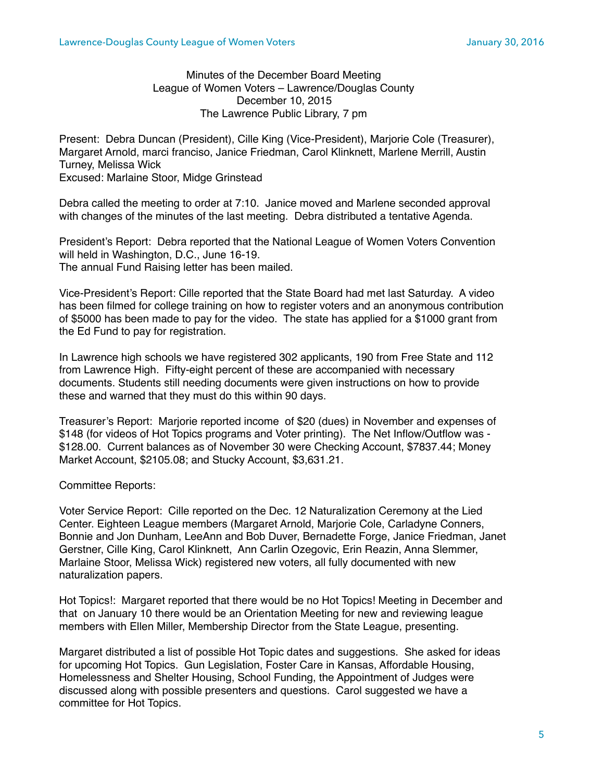### Minutes of the December Board Meeting League of Women Voters – Lawrence/Douglas County December 10, 2015 The Lawrence Public Library, 7 pm

Present: Debra Duncan (President), Cille King (Vice-President), Marjorie Cole (Treasurer), Margaret Arnold, marci franciso, Janice Friedman, Carol Klinknett, Marlene Merrill, Austin Turney, Melissa Wick Excused: Marlaine Stoor, Midge Grinstead

Debra called the meeting to order at 7:10. Janice moved and Marlene seconded approval with changes of the minutes of the last meeting. Debra distributed a tentative Agenda.

President's Report: Debra reported that the National League of Women Voters Convention will held in Washington, D.C., June 16-19. The annual Fund Raising letter has been mailed.

Vice-President's Report: Cille reported that the State Board had met last Saturday. A video has been filmed for college training on how to register voters and an anonymous contribution of \$5000 has been made to pay for the video. The state has applied for a \$1000 grant from the Ed Fund to pay for registration.

In Lawrence high schools we have registered 302 applicants, 190 from Free State and 112 from Lawrence High. Fifty-eight percent of these are accompanied with necessary documents. Students still needing documents were given instructions on how to provide these and warned that they must do this within 90 days.

Treasurer's Report: Marjorie reported income of \$20 (dues) in November and expenses of \$148 (for videos of Hot Topics programs and Voter printing). The Net Inflow/Outflow was - \$128.00. Current balances as of November 30 were Checking Account, \$7837.44; Money Market Account, \$2105.08; and Stucky Account, \$3,631.21.

### Committee Reports:

Voter Service Report: Cille reported on the Dec. 12 Naturalization Ceremony at the Lied Center. Eighteen League members (Margaret Arnold, Marjorie Cole, Carladyne Conners, Bonnie and Jon Dunham, LeeAnn and Bob Duver, Bernadette Forge, Janice Friedman, Janet Gerstner, Cille King, Carol Klinknett, Ann Carlin Ozegovic, Erin Reazin, Anna Slemmer, Marlaine Stoor, Melissa Wick) registered new voters, all fully documented with new naturalization papers.

Hot Topics!: Margaret reported that there would be no Hot Topics! Meeting in December and that on January 10 there would be an Orientation Meeting for new and reviewing league members with Ellen Miller, Membership Director from the State League, presenting.

Margaret distributed a list of possible Hot Topic dates and suggestions. She asked for ideas for upcoming Hot Topics. Gun Legislation, Foster Care in Kansas, Affordable Housing, Homelessness and Shelter Housing, School Funding, the Appointment of Judges were discussed along with possible presenters and questions. Carol suggested we have a committee for Hot Topics.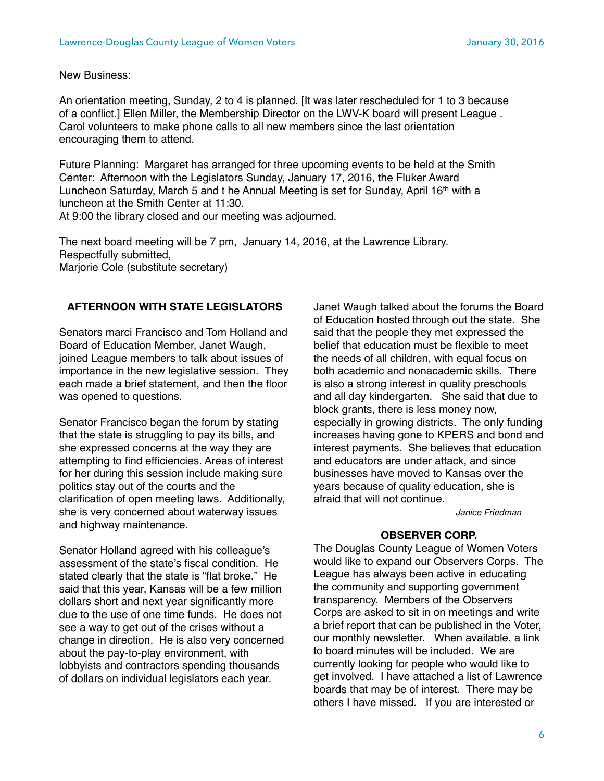New Business:

An orientation meeting, Sunday, 2 to 4 is planned. [It was later rescheduled for 1 to 3 because of a conflict.] Ellen Miller, the Membership Director on the LWV-K board will present League . Carol volunteers to make phone calls to all new members since the last orientation encouraging them to attend.

Future Planning: Margaret has arranged for three upcoming events to be held at the Smith Center: Afternoon with the Legislators Sunday, January 17, 2016, the Fluker Award Luncheon Saturday, March 5 and t he Annual Meeting is set for Sunday, April 16<sup>th</sup> with a luncheon at the Smith Center at 11:30.

At 9:00 the library closed and our meeting was adjourned.

The next board meeting will be 7 pm, January 14, 2016, at the Lawrence Library. Respectfully submitted,

Marjorie Cole (substitute secretary)

## **AFTERNOON WITH STATE LEGISLATORS**

Senators marci Francisco and Tom Holland and Board of Education Member, Janet Waugh, joined League members to talk about issues of importance in the new legislative session. They each made a brief statement, and then the floor was opened to questions.

Senator Francisco began the forum by stating that the state is struggling to pay its bills, and she expressed concerns at the way they are attempting to find efficiencies. Areas of interest for her during this session include making sure politics stay out of the courts and the clarification of open meeting laws. Additionally, she is very concerned about waterway issues and highway maintenance.

Senator Holland agreed with his colleague's assessment of the state's fiscal condition. He stated clearly that the state is "flat broke." He said that this year, Kansas will be a few million dollars short and next year significantly more due to the use of one time funds. He does not see a way to get out of the crises without a change in direction. He is also very concerned about the pay-to-play environment, with lobbyists and contractors spending thousands of dollars on individual legislators each year.

Janet Waugh talked about the forums the Board of Education hosted through out the state. She said that the people they met expressed the belief that education must be flexible to meet the needs of all children, with equal focus on both academic and nonacademic skills. There is also a strong interest in quality preschools and all day kindergarten. She said that due to block grants, there is less money now, especially in growing districts. The only funding increases having gone to KPERS and bond and interest payments. She believes that education and educators are under attack, and since businesses have moved to Kansas over the years because of quality education, she is afraid that will not continue.

*Janice Friedman*

### **OBSERVER CORP.**

The Douglas County League of Women Voters would like to expand our Observers Corps. The League has always been active in educating the community and supporting government transparency. Members of the Observers Corps are asked to sit in on meetings and write a brief report that can be published in the Voter, our monthly newsletter. When available, a link to board minutes will be included. We are currently looking for people who would like to get involved. I have attached a list of Lawrence boards that may be of interest. There may be others I have missed. If you are interested or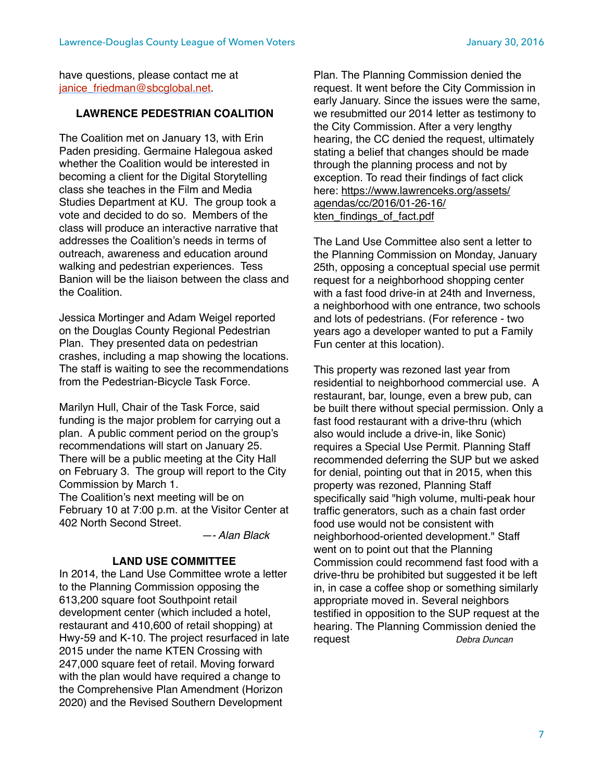have questions, please contact me at ianice\_friedman@sbcglobal.net.

## **LAWRENCE PEDESTRIAN COALITION**

The Coalition met on January 13, with Erin Paden presiding. Germaine Halegoua asked whether the Coalition would be interested in becoming a client for the Digital Storytelling class she teaches in the Film and Media Studies Department at KU. The group took a vote and decided to do so. Members of the class will produce an interactive narrative that addresses the Coalition's needs in terms of outreach, awareness and education around walking and pedestrian experiences. Tess Banion will be the liaison between the class and the Coalition.

Jessica Mortinger and Adam Weigel reported on the Douglas County Regional Pedestrian Plan. They presented data on pedestrian crashes, including a map showing the locations. The staff is waiting to see the recommendations from the Pedestrian-Bicycle Task Force.

Marilyn Hull, Chair of the Task Force, said funding is the major problem for carrying out a plan. A public comment period on the group's recommendations will start on January 25. There will be a public meeting at the City Hall on February 3. The group will report to the City Commission by March 1. The Coalition's next meeting will be on February 10 at 7:00 p.m. at the Visitor Center at 402 North Second Street.

*—- Alan Black*

### **LAND USE COMMITTEE**

In 2014, the Land Use Committee wrote a letter to the Planning Commission opposing the 613,200 square foot Southpoint retail development center (which included a hotel, restaurant and 410,600 of retail shopping) at Hwy-59 and K-10. The project resurfaced in late 2015 under the name KTEN Crossing with 247,000 square feet of retail. Moving forward with the plan would have required a change to the Comprehensive Plan Amendment (Horizon 2020) and the Revised Southern Development

Plan. The Planning Commission denied the request. It went before the City Commission in early January. Since the issues were the same, we resubmitted our 2014 letter as testimony to the City Commission. After a very lengthy hearing, the CC denied the request, ultimately stating a belief that changes should be made through the planning process and not by exception. To read their findings of fact click [here: https://www.lawrenceks.org/assets/](https://www.lawrenceks.org/assets/agendas/cc/2016/01-26-16/kten_findings_of_fact.pdf) agendas/cc/2016/01-26-16/ kten\_findings\_of\_fact.pdf

The Land Use Committee also sent a letter to the Planning Commission on Monday, January 25th, opposing a conceptual special use permit request for a neighborhood shopping center with a fast food drive-in at 24th and Inverness, a neighborhood with one entrance, two schools and lots of pedestrians. (For reference - two years ago a developer wanted to put a Family Fun center at this location).

This property was rezoned last year from residential to neighborhood commercial use. A restaurant, bar, lounge, even a brew pub, can be built there without special permission. Only a fast food restaurant with a drive-thru (which also would include a drive-in, like Sonic) requires a Special Use Permit. Planning Staff recommended deferring the SUP but we asked for denial, pointing out that in 2015, when this property was rezoned, Planning Staff specifically said "high volume, multi-peak hour traffic generators, such as a chain fast order food use would not be consistent with neighborhood-oriented development." Staff went on to point out that the Planning Commission could recommend fast food with a drive-thru be prohibited but suggested it be left in, in case a coffee shop or something similarly appropriate moved in. Several neighbors testified in opposition to the SUP request at the hearing. The Planning Commission denied the request *Debra Duncan*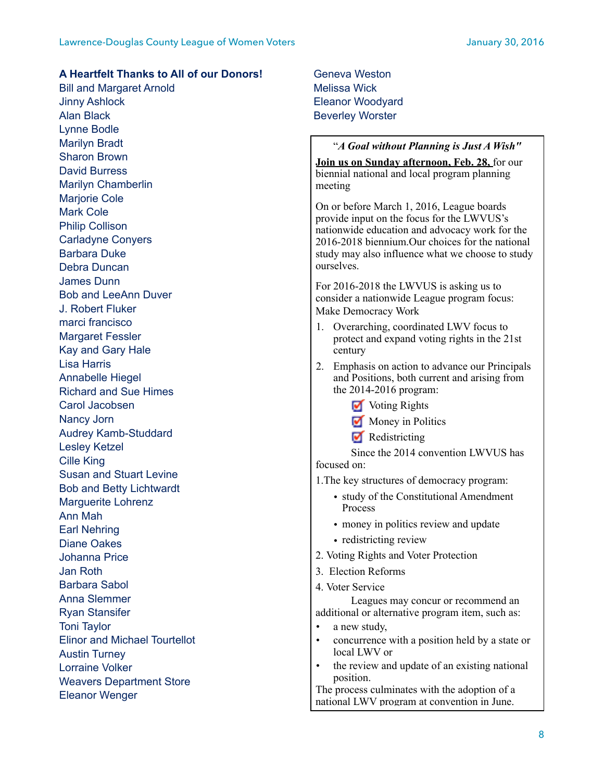### **A Heartfelt Thanks to All of our Donors!**

Bill and Margaret Arnold Jinny Ashlock Alan Black Lynne Bodle Marilyn Bradt Sharon Brown David Burress Marilyn Chamberlin Marjorie Cole Mark Cole Philip Collison Carladyne Conyers Barbara Duke Debra Duncan James Dunn Bob and LeeAnn Duver J. Robert Fluker marci francisco Margaret Fessler Kay and Gary Hale Lisa Harris Annabelle Hiegel Richard and Sue Himes Carol Jacobsen Nancy Jorn Audrey Kamb-Studdard Lesley Ketzel Cille King Susan and Stuart Levine Bob and Betty Lichtwardt Marguerite Lohrenz Ann Mah Earl Nehring Diane Oakes Johanna Price Jan Roth Barbara Sabol Anna Slemmer Ryan Stansifer Toni Taylor Elinor and Michael Tourtellot Austin Turney Lorraine Volker Weavers Department Store Eleanor Wenger

Geneva Weston Melissa Wick Eleanor Woodyard Beverley Worster

### "*A Goal without Planning is Just A Wish"*

**Join us on Sunday afternoon, Feb. 28,** for our biennial national and local program planning meeting

On or before March 1, 2016, League boards provide input on the focus for the LWVUS's nationwide education and advocacy work for the 2016-2018 biennium.Our choices for the national study may also influence what we choose to study ourselves.

For 2016-2018 the LWVUS is asking us to consider a nationwide League program focus: Make Democracy Work

- 1. Overarching, coordinated LWV focus to protect and expand voting rights in the 21st century
- 2. Emphasis on action to advance our Principals and Positions, both current and arising from the 2014-2016 program:
	- **V** Voting Rights
	- Money in Politics
	- $\blacksquare$  Redistricting

 Since the 2014 convention LWVUS has focused on:

1.The key structures of democracy program:

- study of the Constitutional Amendment Process
- money in politics review and update
- redistricting review
- 2. Voting Rights and Voter Protection
- 3. Election Reforms
- 4. Voter Service

 Leagues may concur or recommend an additional or alternative program item, such as:

- a new study,
- concurrence with a position held by a state or local LWV or
- the review and update of an existing national position.

The process culminates with the adoption of a national LWV program at convention in June.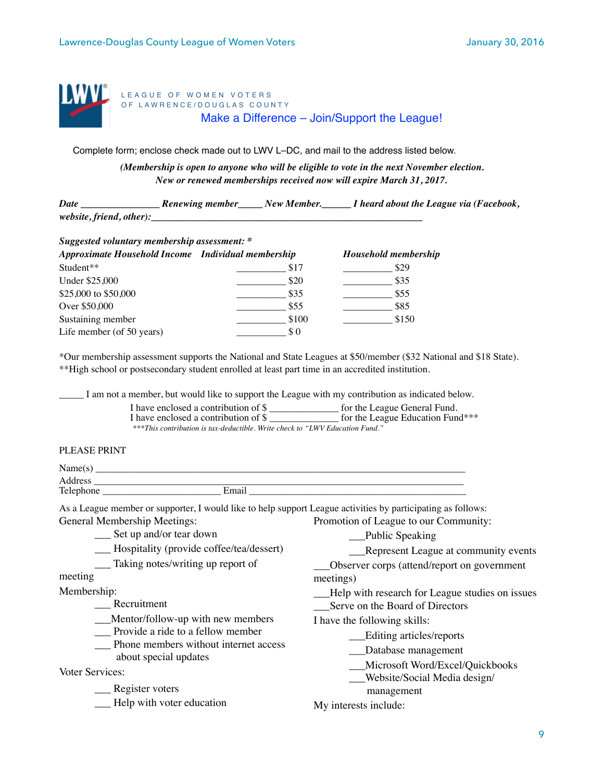

LEAGUE OF WOMEN VOTERS OF LAWRENCE/DOUGLAS COUNTY Make a Difference – Join/Support the League!

Complete form; enclose check made out to LWV L–DC, and mail to the address listed below.

*(Membership is open to anyone who will be eligible to vote in the next November election. New or renewed memberships received now will expire March 31, 2017.* 

*Date \_\_\_\_\_\_\_\_\_\_\_\_\_\_\_\_ Renewing member\_\_\_\_\_ New Member.\_\_\_\_\_\_ I heard about the League via (Facebook,* website, friend, other):

| Suggested voluntary membership assessment: *       |       |                             |  |  |
|----------------------------------------------------|-------|-----------------------------|--|--|
| Approximate Household Income Individual membership |       | <b>Household membership</b> |  |  |
| Student**                                          | \$17  | \$29                        |  |  |
| Under \$25,000                                     | \$20  | \$35                        |  |  |
| \$25,000 to \$50,000                               | \$35  | \$55                        |  |  |
| Over \$50,000                                      | \$55  | \$85                        |  |  |
| Sustaining member                                  | \$100 | \$150                       |  |  |
| Life member (of 50 years)                          | S O   |                             |  |  |

\*Our membership assessment supports the National and State Leagues at \$50/member (\$32 National and \$18 State). \*\*High school or postsecondary student enrolled at least part time in an accredited institution.

I am not a member, but would like to support the League with my contribution as indicated below.

| I have enclosed a contribution of \$                                         | for the League General Fund.     |
|------------------------------------------------------------------------------|----------------------------------|
| I have enclosed a contribution of \$                                         | for the League Education Fund*** |
| ***This contribution is tax-deductible. Write check to "LWV Education Fund." |                                  |

### PLEASE PRINT

| N.<br>S   |       |  |
|-----------|-------|--|
| Address   |       |  |
| Telephone | Email |  |

As a League member or supporter, I would like to help support League activities by participating as follows: General Membership Meetings: Promotion of League to our Community:

\_\_\_ Set up and/or tear down

- \_\_\_ Hospitality (provide coffee/tea/dessert)
- \_\_\_ Taking notes/writing up report of

meeting

Membership:

\_\_\_ Recruitment

\_\_\_Mentor/follow-up with new members

- \_\_\_ Provide a ride to a fellow member
- \_\_\_ Phone members without internet access about special updates

Voter Services:

\_\_\_ Register voters

\_\_\_ Help with voter education

management

I have the following skills:

meetings)

\_\_\_Public Speaking

\_\_\_Serve on the Board of Directors

\_\_\_Editing articles/reports \_\_\_Database management

Represent League at community events

\_\_\_Observer corps (attend/report on government

\_\_\_Help with research for League studies on issues

\_\_\_Microsoft Word/Excel/Quickbooks \_\_\_Website/Social Media design/

My interests include: